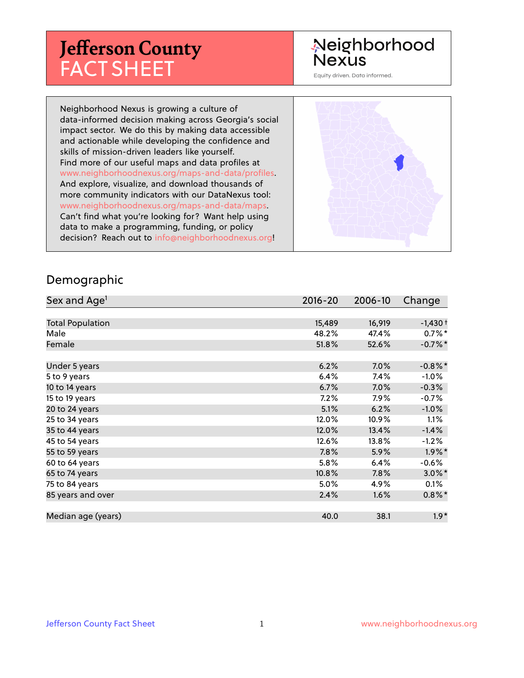# **Jefferson County** FACT SHEET

# Neighborhood Nexus

Equity driven. Data informed.

Neighborhood Nexus is growing a culture of data-informed decision making across Georgia's social impact sector. We do this by making data accessible and actionable while developing the confidence and skills of mission-driven leaders like yourself. Find more of our useful maps and data profiles at www.neighborhoodnexus.org/maps-and-data/profiles. And explore, visualize, and download thousands of more community indicators with our DataNexus tool: www.neighborhoodnexus.org/maps-and-data/maps. Can't find what you're looking for? Want help using data to make a programming, funding, or policy decision? Reach out to [info@neighborhoodnexus.org!](mailto:info@neighborhoodnexus.org)



#### Demographic

| Sex and Age <sup>1</sup> | $2016 - 20$ | 2006-10 | Change     |
|--------------------------|-------------|---------|------------|
|                          |             |         |            |
| <b>Total Population</b>  | 15,489      | 16,919  | $-1,430+$  |
| Male                     | 48.2%       | 47.4%   | $0.7\%$ *  |
| Female                   | 51.8%       | 52.6%   | $-0.7%$ *  |
|                          |             |         |            |
| Under 5 years            | 6.2%        | 7.0%    | $-0.8\%$ * |
| 5 to 9 years             | 6.4%        | 7.4%    | $-1.0%$    |
| 10 to 14 years           | 6.7%        | 7.0%    | $-0.3%$    |
| 15 to 19 years           | 7.2%        | 7.9%    | $-0.7%$    |
| 20 to 24 years           | 5.1%        | 6.2%    | $-1.0\%$   |
| 25 to 34 years           | 12.0%       | 10.9%   | 1.1%       |
| 35 to 44 years           | 12.0%       | 13.4%   | $-1.4%$    |
| 45 to 54 years           | 12.6%       | 13.8%   | $-1.2\%$   |
| 55 to 59 years           | 7.8%        | 5.9%    | $1.9\%$ *  |
| 60 to 64 years           | 5.8%        | 6.4%    | $-0.6%$    |
| 65 to 74 years           | 10.8%       | 7.8%    | $3.0\%$ *  |
| 75 to 84 years           | 5.0%        | 4.9%    | 0.1%       |
| 85 years and over        | 2.4%        | 1.6%    | $0.8\%$ *  |
|                          |             |         |            |
| Median age (years)       | 40.0        | 38.1    | $1.9*$     |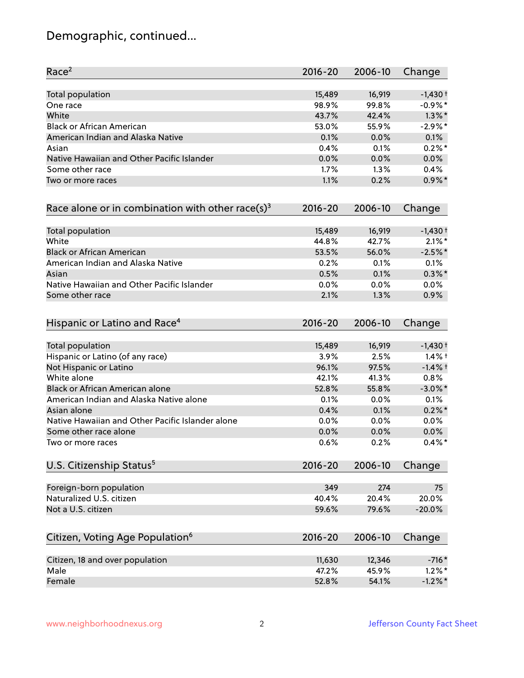# Demographic, continued...

| Race <sup>2</sup>                                            | $2016 - 20$ | 2006-10 | Change     |
|--------------------------------------------------------------|-------------|---------|------------|
| <b>Total population</b>                                      | 15,489      | 16,919  | $-1,430+$  |
| One race                                                     | 98.9%       | 99.8%   | $-0.9\%$ * |
| White                                                        | 43.7%       | 42.4%   | $1.3\%$ *  |
| <b>Black or African American</b>                             | 53.0%       | 55.9%   | $-2.9\%$ * |
| American Indian and Alaska Native                            | 0.1%        | 0.0%    | 0.1%       |
| Asian                                                        | 0.4%        | 0.1%    | $0.2%$ *   |
| Native Hawaiian and Other Pacific Islander                   | 0.0%        | 0.0%    | 0.0%       |
| Some other race                                              | 1.7%        | 1.3%    | 0.4%       |
| Two or more races                                            | 1.1%        | 0.2%    | $0.9\%$ *  |
| Race alone or in combination with other race(s) <sup>3</sup> | $2016 - 20$ | 2006-10 | Change     |
| Total population                                             | 15,489      | 16,919  | $-1,430+$  |
| White                                                        | 44.8%       | 42.7%   | $2.1\%$ *  |
| <b>Black or African American</b>                             | 53.5%       | 56.0%   | $-2.5%$ *  |
| American Indian and Alaska Native                            | 0.2%        | 0.1%    | 0.1%       |
| Asian                                                        | 0.5%        | 0.1%    | $0.3\%$ *  |
| Native Hawaiian and Other Pacific Islander                   | 0.0%        | 0.0%    | 0.0%       |
| Some other race                                              | 2.1%        | 1.3%    | 0.9%       |
| Hispanic or Latino and Race <sup>4</sup>                     | $2016 - 20$ | 2006-10 | Change     |
| <b>Total population</b>                                      | 15,489      | 16,919  | $-1,430+$  |
| Hispanic or Latino (of any race)                             | 3.9%        | 2.5%    | $1.4\%$ †  |
| Not Hispanic or Latino                                       | 96.1%       | 97.5%   | $-1.4%$ †  |
| White alone                                                  | 42.1%       | 41.3%   | 0.8%       |
| Black or African American alone                              | 52.8%       | 55.8%   | $-3.0\%$ * |
| American Indian and Alaska Native alone                      | 0.1%        | $0.0\%$ | 0.1%       |
| Asian alone                                                  | 0.4%        | 0.1%    | $0.2\%$ *  |
| Native Hawaiian and Other Pacific Islander alone             | 0.0%        | 0.0%    | 0.0%       |
| Some other race alone                                        | 0.0%        | 0.0%    | 0.0%       |
| Two or more races                                            | 0.6%        | 0.2%    | $0.4\%$ *  |
| U.S. Citizenship Status <sup>5</sup>                         | $2016 - 20$ | 2006-10 | Change     |
| Foreign-born population                                      | 349         | 274     | 75         |
| Naturalized U.S. citizen                                     | 40.4%       | 20.4%   | 20.0%      |
| Not a U.S. citizen                                           | 59.6%       | 79.6%   | $-20.0%$   |
| Citizen, Voting Age Population <sup>6</sup>                  | $2016 - 20$ | 2006-10 | Change     |
|                                                              |             |         |            |
| Citizen, 18 and over population                              | 11,630      | 12,346  | $-716*$    |
| Male                                                         | 47.2%       | 45.9%   | $1.2\%$ *  |
| Female                                                       | 52.8%       | 54.1%   | $-1.2%$ *  |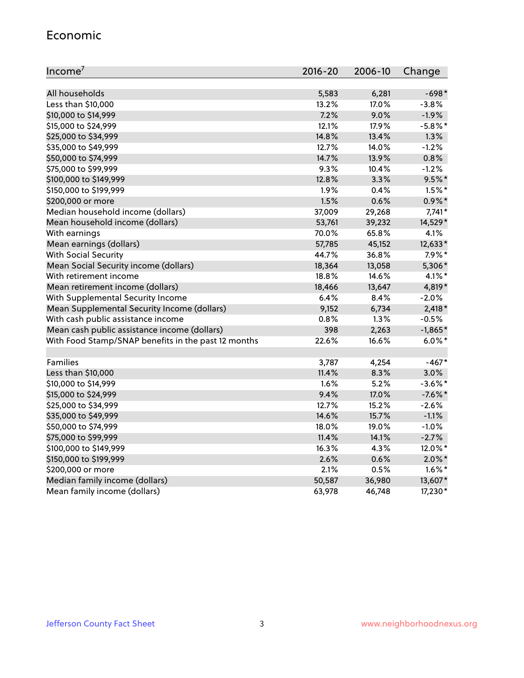#### Economic

| Income <sup>7</sup>                                 | $2016 - 20$ | 2006-10 | Change     |
|-----------------------------------------------------|-------------|---------|------------|
|                                                     |             |         |            |
| All households                                      | 5,583       | 6,281   | $-698*$    |
| Less than \$10,000                                  | 13.2%       | 17.0%   | $-3.8%$    |
| \$10,000 to \$14,999                                | 7.2%        | 9.0%    | $-1.9%$    |
| \$15,000 to \$24,999                                | 12.1%       | 17.9%   | $-5.8\%$ * |
| \$25,000 to \$34,999                                | 14.8%       | 13.4%   | 1.3%       |
| \$35,000 to \$49,999                                | 12.7%       | 14.0%   | $-1.2%$    |
| \$50,000 to \$74,999                                | 14.7%       | 13.9%   | 0.8%       |
| \$75,000 to \$99,999                                | 9.3%        | 10.4%   | $-1.2%$    |
| \$100,000 to \$149,999                              | 12.8%       | 3.3%    | $9.5%$ *   |
| \$150,000 to \$199,999                              | 1.9%        | 0.4%    | $1.5\%$ *  |
| \$200,000 or more                                   | 1.5%        | 0.6%    | $0.9\%$ *  |
| Median household income (dollars)                   | 37,009      | 29,268  | $7,741*$   |
| Mean household income (dollars)                     | 53,761      | 39,232  | 14,529*    |
| With earnings                                       | 70.0%       | 65.8%   | 4.1%       |
| Mean earnings (dollars)                             | 57,785      | 45,152  | 12,633*    |
| <b>With Social Security</b>                         | 44.7%       | 36.8%   | $7.9\%*$   |
| Mean Social Security income (dollars)               | 18,364      | 13,058  | 5,306*     |
| With retirement income                              | 18.8%       | 14.6%   | $4.1\%$ *  |
| Mean retirement income (dollars)                    | 18,466      | 13,647  | 4,819*     |
| With Supplemental Security Income                   | 6.4%        | 8.4%    | $-2.0%$    |
| Mean Supplemental Security Income (dollars)         | 9,152       | 6,734   | $2,418*$   |
| With cash public assistance income                  | 0.8%        | 1.3%    | $-0.5%$    |
| Mean cash public assistance income (dollars)        | 398         | 2,263   | $-1,865*$  |
| With Food Stamp/SNAP benefits in the past 12 months | 22.6%       | 16.6%   | $6.0\%$ *  |
|                                                     |             |         |            |
| Families                                            | 3,787       | 4,254   | $-467*$    |
| Less than \$10,000                                  | 11.4%       | 8.3%    | 3.0%       |
| \$10,000 to \$14,999                                | 1.6%        | 5.2%    | $-3.6\%$ * |
| \$15,000 to \$24,999                                | 9.4%        | 17.0%   | $-7.6%$ *  |
| \$25,000 to \$34,999                                | 12.7%       | 15.2%   | $-2.6%$    |
| \$35,000 to \$49,999                                | 14.6%       | 15.7%   | $-1.1%$    |
| \$50,000 to \$74,999                                | 18.0%       | 19.0%   | $-1.0%$    |
| \$75,000 to \$99,999                                | 11.4%       | 14.1%   | $-2.7%$    |
| \$100,000 to \$149,999                              | 16.3%       | 4.3%    | 12.0%*     |
| \$150,000 to \$199,999                              | 2.6%        | 0.6%    | $2.0\%$ *  |
| \$200,000 or more                                   | 2.1%        | 0.5%    | $1.6\%$ *  |
| Median family income (dollars)                      | 50,587      | 36,980  | 13,607*    |
| Mean family income (dollars)                        | 63,978      | 46,748  | 17,230*    |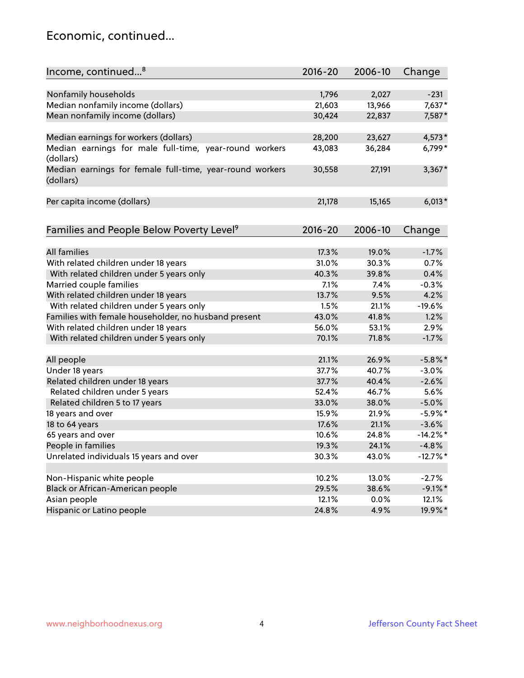### Economic, continued...

| Income, continued <sup>8</sup>                                        | $2016 - 20$ | 2006-10 | Change      |
|-----------------------------------------------------------------------|-------------|---------|-------------|
|                                                                       |             |         |             |
| Nonfamily households                                                  | 1,796       | 2,027   | $-231$      |
| Median nonfamily income (dollars)                                     | 21,603      | 13,966  | 7,637*      |
| Mean nonfamily income (dollars)                                       | 30,424      | 22,837  | 7,587*      |
| Median earnings for workers (dollars)                                 | 28,200      | 23,627  | $4,573*$    |
| Median earnings for male full-time, year-round workers<br>(dollars)   | 43,083      | 36,284  | 6,799*      |
| Median earnings for female full-time, year-round workers<br>(dollars) | 30,558      | 27,191  | $3,367*$    |
| Per capita income (dollars)                                           | 21,178      | 15,165  | $6,013*$    |
|                                                                       |             |         |             |
| Families and People Below Poverty Level <sup>9</sup>                  | 2016-20     | 2006-10 | Change      |
| <b>All families</b>                                                   | 17.3%       | 19.0%   | $-1.7%$     |
| With related children under 18 years                                  | 31.0%       | 30.3%   | 0.7%        |
| With related children under 5 years only                              | 40.3%       | 39.8%   | 0.4%        |
| Married couple families                                               | 7.1%        | 7.4%    | $-0.3%$     |
| With related children under 18 years                                  | 13.7%       | 9.5%    | 4.2%        |
| With related children under 5 years only                              | 1.5%        | 21.1%   | $-19.6%$    |
| Families with female householder, no husband present                  | 43.0%       | 41.8%   | 1.2%        |
| With related children under 18 years                                  | 56.0%       | 53.1%   | 2.9%        |
| With related children under 5 years only                              | 70.1%       | 71.8%   | $-1.7%$     |
|                                                                       |             |         |             |
| All people                                                            | 21.1%       | 26.9%   | $-5.8\%$ *  |
| Under 18 years                                                        | 37.7%       | 40.7%   | $-3.0%$     |
| Related children under 18 years                                       | 37.7%       | 40.4%   | $-2.6%$     |
| Related children under 5 years                                        | 52.4%       | 46.7%   | 5.6%        |
| Related children 5 to 17 years                                        | 33.0%       | 38.0%   | $-5.0%$     |
| 18 years and over                                                     | 15.9%       | 21.9%   | $-5.9%$ *   |
| 18 to 64 years                                                        | 17.6%       | 21.1%   | $-3.6%$     |
| 65 years and over                                                     | 10.6%       | 24.8%   | $-14.2\%$ * |
| People in families                                                    | 19.3%       | 24.1%   | $-4.8%$     |
| Unrelated individuals 15 years and over                               | 30.3%       | 43.0%   | $-12.7%$ *  |
|                                                                       |             |         |             |
| Non-Hispanic white people                                             | 10.2%       | 13.0%   | $-2.7%$     |
| Black or African-American people                                      | 29.5%       | 38.6%   | $-9.1\%$ *  |
| Asian people                                                          | 12.1%       | 0.0%    | 12.1%       |
| Hispanic or Latino people                                             | 24.8%       | 4.9%    | 19.9%*      |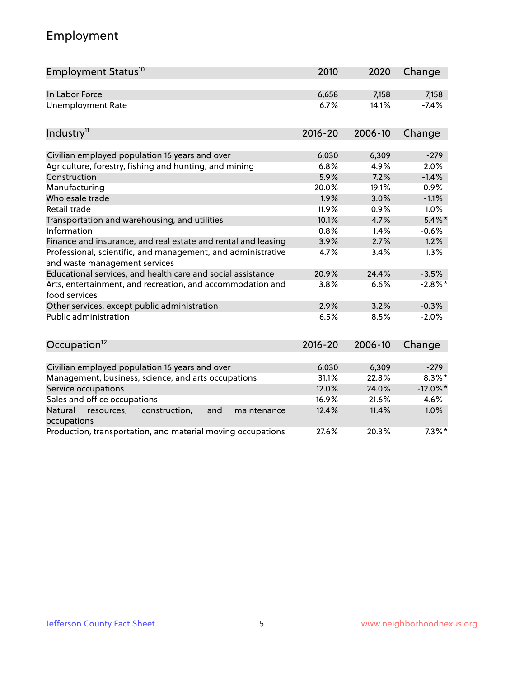# Employment

| Employment Status <sup>10</sup>                                                               | 2010        | 2020    | Change      |
|-----------------------------------------------------------------------------------------------|-------------|---------|-------------|
| In Labor Force                                                                                | 6,658       | 7,158   | 7,158       |
| <b>Unemployment Rate</b>                                                                      | 6.7%        | 14.1%   | $-7.4%$     |
|                                                                                               |             |         |             |
| Industry <sup>11</sup>                                                                        | $2016 - 20$ | 2006-10 | Change      |
| Civilian employed population 16 years and over                                                | 6,030       | 6,309   | $-279$      |
| Agriculture, forestry, fishing and hunting, and mining                                        | 6.8%        | 4.9%    | 2.0%        |
| Construction                                                                                  | 5.9%        | 7.2%    | $-1.4%$     |
| Manufacturing                                                                                 | 20.0%       | 19.1%   | 0.9%        |
| Wholesale trade                                                                               | 1.9%        | 3.0%    | $-1.1%$     |
| Retail trade                                                                                  | 11.9%       | 10.9%   | 1.0%        |
| Transportation and warehousing, and utilities                                                 | 10.1%       | 4.7%    | $5.4\%$ *   |
| Information                                                                                   | 0.8%        | 1.4%    | $-0.6%$     |
| Finance and insurance, and real estate and rental and leasing                                 | 3.9%        | 2.7%    | 1.2%        |
| Professional, scientific, and management, and administrative<br>and waste management services | 4.7%        | 3.4%    | 1.3%        |
| Educational services, and health care and social assistance                                   | 20.9%       | 24.4%   | $-3.5%$     |
| Arts, entertainment, and recreation, and accommodation and<br>food services                   | 3.8%        | 6.6%    | $-2.8\%$ *  |
| Other services, except public administration                                                  | 2.9%        | 3.2%    | $-0.3%$     |
| Public administration                                                                         | 6.5%        | 8.5%    | $-2.0%$     |
| Occupation <sup>12</sup>                                                                      | $2016 - 20$ | 2006-10 | Change      |
|                                                                                               |             |         |             |
| Civilian employed population 16 years and over                                                | 6,030       | 6,309   | $-279$      |
| Management, business, science, and arts occupations                                           | 31.1%       | 22.8%   | $8.3\%$ *   |
| Service occupations                                                                           | 12.0%       | 24.0%   | $-12.0\%$ * |
| Sales and office occupations                                                                  | 16.9%       | 21.6%   | $-4.6%$     |
| Natural<br>construction,<br>and<br>maintenance<br>resources,<br>occupations                   | 12.4%       | 11.4%   | 1.0%        |
| Production, transportation, and material moving occupations                                   | 27.6%       | 20.3%   | $7.3\%$ *   |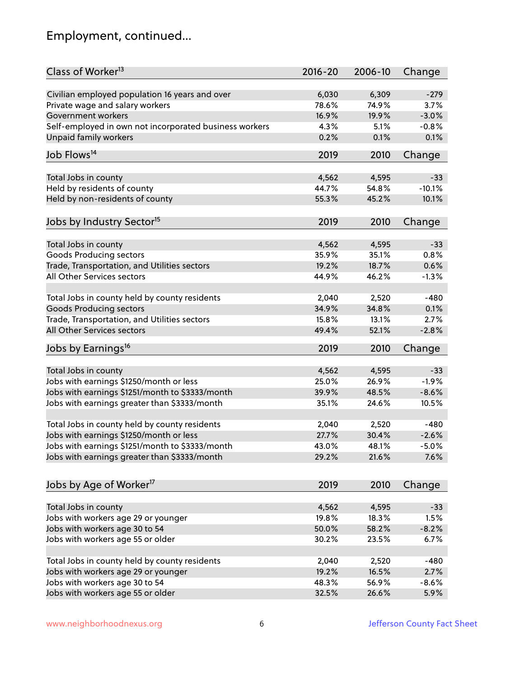# Employment, continued...

| Class of Worker <sup>13</sup>                          | $2016 - 20$ | 2006-10 | Change   |
|--------------------------------------------------------|-------------|---------|----------|
| Civilian employed population 16 years and over         | 6,030       | 6,309   | $-279$   |
| Private wage and salary workers                        | 78.6%       | 74.9%   | 3.7%     |
| Government workers                                     | 16.9%       | 19.9%   | $-3.0%$  |
| Self-employed in own not incorporated business workers | 4.3%        | 5.1%    | $-0.8%$  |
| Unpaid family workers                                  | 0.2%        | 0.1%    | 0.1%     |
|                                                        |             |         |          |
| Job Flows <sup>14</sup>                                | 2019        | 2010    | Change   |
| Total Jobs in county                                   | 4,562       | 4,595   | $-33$    |
| Held by residents of county                            | 44.7%       | 54.8%   | $-10.1%$ |
| Held by non-residents of county                        | 55.3%       | 45.2%   | 10.1%    |
|                                                        |             |         |          |
| Jobs by Industry Sector <sup>15</sup>                  | 2019        | 2010    | Change   |
| Total Jobs in county                                   | 4,562       | 4,595   | $-33$    |
| Goods Producing sectors                                | 35.9%       | 35.1%   | 0.8%     |
| Trade, Transportation, and Utilities sectors           | 19.2%       | 18.7%   | 0.6%     |
| All Other Services sectors                             | 44.9%       | 46.2%   | $-1.3%$  |
|                                                        |             |         |          |
| Total Jobs in county held by county residents          | 2,040       | 2,520   | $-480$   |
| <b>Goods Producing sectors</b>                         | 34.9%       | 34.8%   | 0.1%     |
| Trade, Transportation, and Utilities sectors           | 15.8%       | 13.1%   | 2.7%     |
| All Other Services sectors                             | 49.4%       | 52.1%   | $-2.8%$  |
| Jobs by Earnings <sup>16</sup>                         | 2019        | 2010    | Change   |
|                                                        |             |         |          |
| Total Jobs in county                                   | 4,562       | 4,595   | $-33$    |
| Jobs with earnings \$1250/month or less                | 25.0%       | 26.9%   | $-1.9%$  |
| Jobs with earnings \$1251/month to \$3333/month        | 39.9%       | 48.5%   | $-8.6%$  |
| Jobs with earnings greater than \$3333/month           | 35.1%       | 24.6%   | 10.5%    |
| Total Jobs in county held by county residents          | 2,040       | 2,520   | $-480$   |
| Jobs with earnings \$1250/month or less                | 27.7%       | 30.4%   | $-2.6%$  |
| Jobs with earnings \$1251/month to \$3333/month        | 43.0%       | 48.1%   | $-5.0\%$ |
| Jobs with earnings greater than \$3333/month           | 29.2%       | 21.6%   | 7.6%     |
|                                                        |             |         |          |
| Jobs by Age of Worker <sup>17</sup>                    | 2019        | 2010    | Change   |
|                                                        |             |         |          |
| Total Jobs in county                                   | 4,562       | 4,595   | $-33$    |
| Jobs with workers age 29 or younger                    | 19.8%       | 18.3%   | 1.5%     |
| Jobs with workers age 30 to 54                         | 50.0%       | 58.2%   | $-8.2%$  |
| Jobs with workers age 55 or older                      | 30.2%       | 23.5%   | 6.7%     |
| Total Jobs in county held by county residents          | 2,040       | 2,520   | $-480$   |
| Jobs with workers age 29 or younger                    | 19.2%       | 16.5%   | 2.7%     |
| Jobs with workers age 30 to 54                         | 48.3%       | 56.9%   | $-8.6%$  |
| Jobs with workers age 55 or older                      | 32.5%       | 26.6%   | 5.9%     |
|                                                        |             |         |          |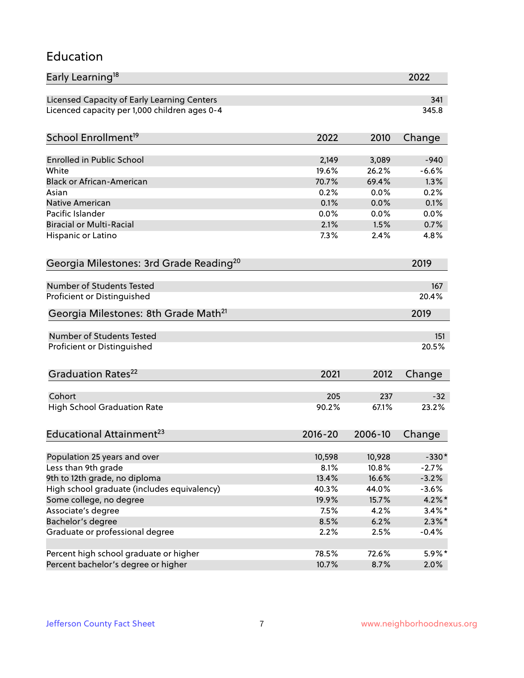#### Education

| Early Learning <sup>18</sup>                        |             |         | 2022      |
|-----------------------------------------------------|-------------|---------|-----------|
| Licensed Capacity of Early Learning Centers         |             |         | 341       |
| Licenced capacity per 1,000 children ages 0-4       |             |         | 345.8     |
| School Enrollment <sup>19</sup>                     | 2022        | 2010    | Change    |
|                                                     |             |         |           |
| <b>Enrolled in Public School</b>                    | 2,149       | 3,089   | $-940$    |
| White                                               | 19.6%       | 26.2%   | $-6.6%$   |
| <b>Black or African-American</b>                    | 70.7%       | 69.4%   | 1.3%      |
| Asian                                               | 0.2%        | 0.0%    | 0.2%      |
| Native American                                     | 0.1%        | 0.0%    | 0.1%      |
| Pacific Islander                                    | 0.0%        | 0.0%    | 0.0%      |
| <b>Biracial or Multi-Racial</b>                     | 2.1%        | 1.5%    | 0.7%      |
| Hispanic or Latino                                  | 7.3%        | 2.4%    | 4.8%      |
| Georgia Milestones: 3rd Grade Reading <sup>20</sup> |             |         | 2019      |
|                                                     |             |         |           |
| <b>Number of Students Tested</b>                    |             |         | 167       |
| Proficient or Distinguished                         |             |         | 20.4%     |
| Georgia Milestones: 8th Grade Math <sup>21</sup>    |             |         | 2019      |
| <b>Number of Students Tested</b>                    |             |         | 151       |
| Proficient or Distinguished                         |             |         | 20.5%     |
|                                                     |             |         |           |
| Graduation Rates <sup>22</sup>                      | 2021        | 2012    | Change    |
| Cohort                                              | 205         | 237     | $-32$     |
| <b>High School Graduation Rate</b>                  | 90.2%       | 67.1%   | 23.2%     |
|                                                     |             |         |           |
| Educational Attainment <sup>23</sup>                | $2016 - 20$ | 2006-10 | Change    |
| Population 25 years and over                        | 10,598      | 10,928  | $-330*$   |
| Less than 9th grade                                 | 8.1%        | 10.8%   | $-2.7%$   |
| 9th to 12th grade, no diploma                       | 13.4%       | 16.6%   | $-3.2%$   |
| High school graduate (includes equivalency)         | 40.3%       | 44.0%   | $-3.6%$   |
| Some college, no degree                             | 19.9%       | 15.7%   | 4.2%*     |
| Associate's degree                                  | 7.5%        | 4.2%    | $3.4\%$ * |
| Bachelor's degree                                   | 8.5%        | 6.2%    | $2.3\%$ * |
| Graduate or professional degree                     | 2.2%        | 2.5%    | $-0.4%$   |
|                                                     |             |         |           |
| Percent high school graduate or higher              | 78.5%       | 72.6%   | $5.9\%*$  |
| Percent bachelor's degree or higher                 | 10.7%       | 8.7%    | 2.0%      |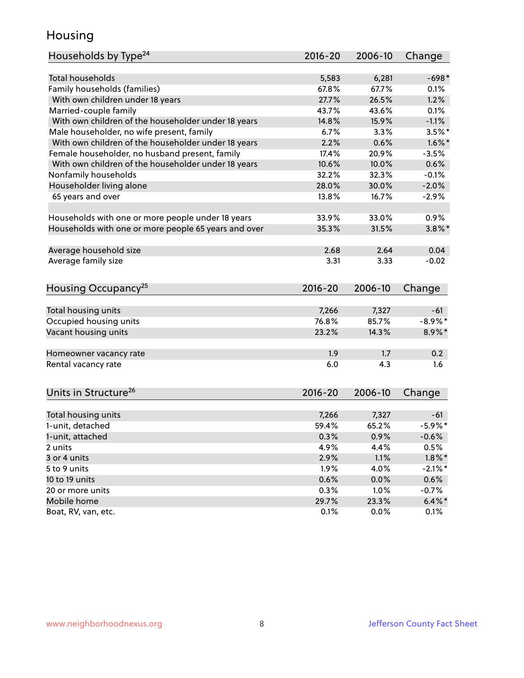### Housing

| Households by Type <sup>24</sup>                     | $2016 - 20$ | 2006-10 | Change     |
|------------------------------------------------------|-------------|---------|------------|
|                                                      |             |         |            |
| <b>Total households</b>                              | 5,583       | 6,281   | $-698*$    |
| Family households (families)                         | 67.8%       | 67.7%   | 0.1%       |
| With own children under 18 years                     | 27.7%       | 26.5%   | 1.2%       |
| Married-couple family                                | 43.7%       | 43.6%   | 0.1%       |
| With own children of the householder under 18 years  | 14.8%       | 15.9%   | $-1.1%$    |
| Male householder, no wife present, family            | 6.7%        | 3.3%    | $3.5\%$ *  |
| With own children of the householder under 18 years  | 2.2%        | 0.6%    | $1.6\%$ *  |
| Female householder, no husband present, family       | 17.4%       | 20.9%   | $-3.5%$    |
| With own children of the householder under 18 years  | 10.6%       | 10.0%   | 0.6%       |
| Nonfamily households                                 | 32.2%       | 32.3%   | $-0.1%$    |
| Householder living alone                             | 28.0%       | 30.0%   | $-2.0%$    |
| 65 years and over                                    | 13.8%       | 16.7%   | $-2.9%$    |
|                                                      |             |         |            |
| Households with one or more people under 18 years    | 33.9%       | 33.0%   | 0.9%       |
| Households with one or more people 65 years and over | 35.3%       | 31.5%   | $3.8\%$ *  |
|                                                      |             |         |            |
| Average household size                               | 2.68        | 2.64    | 0.04       |
| Average family size                                  | 3.31        | 3.33    | $-0.02$    |
|                                                      |             |         |            |
| Housing Occupancy <sup>25</sup>                      | $2016 - 20$ | 2006-10 | Change     |
|                                                      |             |         |            |
| Total housing units                                  | 7,266       | 7,327   | $-61$      |
| Occupied housing units                               | 76.8%       | 85.7%   | $-8.9\%$ * |
| Vacant housing units                                 | 23.2%       | 14.3%   | 8.9%*      |
|                                                      |             |         |            |
| Homeowner vacancy rate                               | 1.9         | 1.7     | 0.2        |
| Rental vacancy rate                                  | 6.0         | 4.3     | 1.6        |
|                                                      |             |         |            |
| Units in Structure <sup>26</sup>                     | $2016 - 20$ | 2006-10 | Change     |
|                                                      |             |         |            |
| Total housing units                                  | 7,266       | 7,327   | $-61$      |
| 1-unit, detached                                     | 59.4%       | 65.2%   | $-5.9\%$ * |
| 1-unit, attached                                     | 0.3%        | 0.9%    | $-0.6%$    |
| 2 units                                              | 4.9%        | 4.4%    | 0.5%       |
| 3 or 4 units                                         | 2.9%        | 1.1%    | $1.8\%$ *  |
| 5 to 9 units                                         | 1.9%        | 4.0%    | $-2.1\%$ * |
| 10 to 19 units                                       | 0.6%        | 0.0%    | 0.6%       |
| 20 or more units                                     | 0.3%        | 1.0%    | $-0.7%$    |
| Mobile home                                          | 29.7%       | 23.3%   | $6.4\%$ *  |
| Boat, RV, van, etc.                                  |             |         |            |
|                                                      | 0.1%        | 0.0%    | 0.1%       |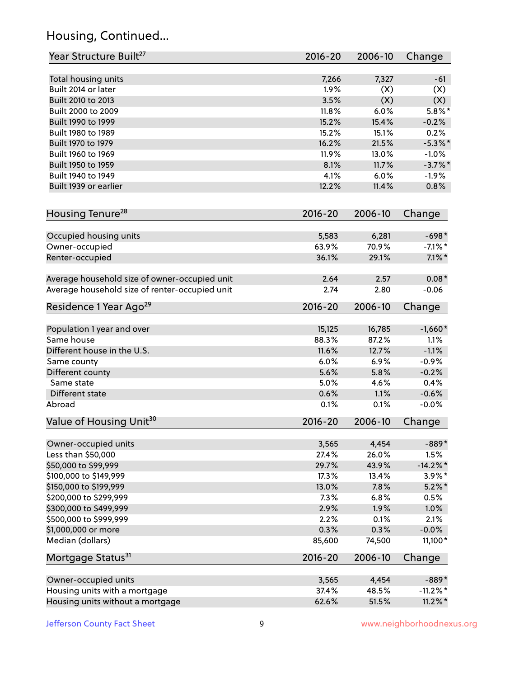# Housing, Continued...

| Year Structure Built <sup>27</sup>             | 2016-20     | 2006-10 | Change      |
|------------------------------------------------|-------------|---------|-------------|
| Total housing units                            | 7,266       | 7,327   | $-61$       |
| Built 2014 or later                            | 1.9%        | (X)     | (X)         |
| Built 2010 to 2013                             | 3.5%        | (X)     | (X)         |
| Built 2000 to 2009                             | 11.8%       | 6.0%    | $5.8\%$ *   |
| Built 1990 to 1999                             | 15.2%       | 15.4%   | $-0.2%$     |
| Built 1980 to 1989                             | 15.2%       | 15.1%   | 0.2%        |
| Built 1970 to 1979                             | 16.2%       | 21.5%   | $-5.3\%$ *  |
| Built 1960 to 1969                             | 11.9%       | 13.0%   | $-1.0%$     |
| Built 1950 to 1959                             | 8.1%        | 11.7%   | $-3.7\%$ *  |
| Built 1940 to 1949                             | 4.1%        | 6.0%    | $-1.9%$     |
| Built 1939 or earlier                          | 12.2%       | 11.4%   | 0.8%        |
| Housing Tenure <sup>28</sup>                   | $2016 - 20$ | 2006-10 | Change      |
| Occupied housing units                         | 5,583       | 6,281   | $-698*$     |
| Owner-occupied                                 | 63.9%       | 70.9%   | $-7.1\%$ *  |
| Renter-occupied                                | 36.1%       | 29.1%   | $7.1\%$ *   |
| Average household size of owner-occupied unit  | 2.64        | 2.57    | $0.08*$     |
| Average household size of renter-occupied unit | 2.74        | 2.80    | $-0.06$     |
| Residence 1 Year Ago <sup>29</sup>             | 2016-20     | 2006-10 | Change      |
| Population 1 year and over                     | 15,125      | 16,785  | $-1,660*$   |
| Same house                                     | 88.3%       | 87.2%   | 1.1%        |
| Different house in the U.S.                    | 11.6%       | 12.7%   | $-1.1%$     |
| Same county                                    | 6.0%        | 6.9%    | $-0.9%$     |
| Different county                               | 5.6%        | 5.8%    | $-0.2%$     |
| Same state                                     | 5.0%        | 4.6%    | 0.4%        |
| Different state                                | 0.6%        | 1.1%    | $-0.6%$     |
| Abroad                                         | 0.1%        | 0.1%    | $-0.0%$     |
| Value of Housing Unit <sup>30</sup>            | $2016 - 20$ | 2006-10 | Change      |
| Owner-occupied units                           | 3,565       | 4,454   | $-889*$     |
| Less than \$50,000                             | 27.4%       | 26.0%   | 1.5%        |
| \$50,000 to \$99,999                           | 29.7%       | 43.9%   | $-14.2\%$ * |
| \$100,000 to \$149,999                         | 17.3%       | 13.4%   | $3.9\%$ *   |
| \$150,000 to \$199,999                         | 13.0%       | 7.8%    | $5.2\%$ *   |
| \$200,000 to \$299,999                         | 7.3%        | 6.8%    | 0.5%        |
| \$300,000 to \$499,999                         | 2.9%        | 1.9%    | 1.0%        |
| \$500,000 to \$999,999                         | 2.2%        | 0.1%    | 2.1%        |
| \$1,000,000 or more                            | 0.3%        | 0.3%    | $-0.0%$     |
| Median (dollars)                               | 85,600      | 74,500  | 11,100*     |
| Mortgage Status <sup>31</sup>                  | 2016-20     | 2006-10 | Change      |
| Owner-occupied units                           | 3,565       | 4,454   | $-889*$     |
| Housing units with a mortgage                  | 37.4%       | 48.5%   | $-11.2\%$ * |
| Housing units without a mortgage               | 62.6%       | 51.5%   | $11.2\%$ *  |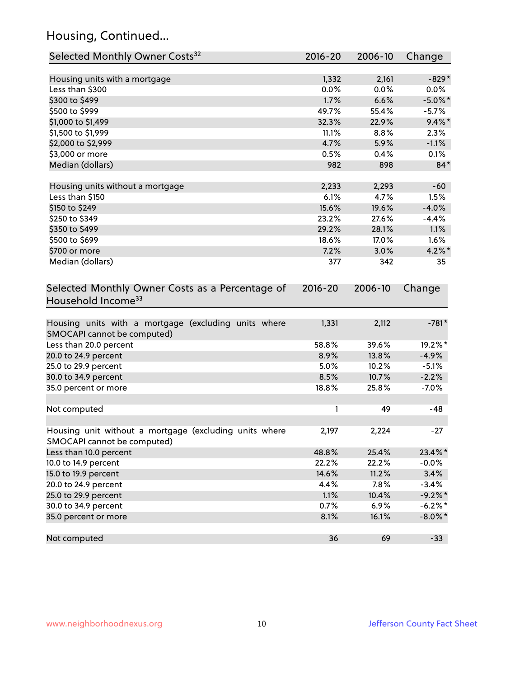# Housing, Continued...

| Selected Monthly Owner Costs <sup>32</sup>                                            | 2016-20 | 2006-10 | Change     |
|---------------------------------------------------------------------------------------|---------|---------|------------|
| Housing units with a mortgage                                                         | 1,332   | 2,161   | $-829*$    |
| Less than \$300                                                                       | 0.0%    | 0.0%    | $0.0\%$    |
| \$300 to \$499                                                                        | 1.7%    | 6.6%    | $-5.0\%$ * |
| \$500 to \$999                                                                        | 49.7%   | 55.4%   | $-5.7%$    |
| \$1,000 to \$1,499                                                                    | 32.3%   | 22.9%   | $9.4\%$ *  |
| \$1,500 to \$1,999                                                                    | 11.1%   | 8.8%    | 2.3%       |
| \$2,000 to \$2,999                                                                    | 4.7%    | 5.9%    | $-1.1%$    |
| \$3,000 or more                                                                       | 0.5%    | 0.4%    | 0.1%       |
| Median (dollars)                                                                      | 982     | 898     | $84*$      |
| Housing units without a mortgage                                                      | 2,233   | 2,293   | $-60$      |
| Less than \$150                                                                       | 6.1%    | 4.7%    | 1.5%       |
| \$150 to \$249                                                                        | 15.6%   | 19.6%   | $-4.0%$    |
| \$250 to \$349                                                                        | 23.2%   | 27.6%   | $-4.4%$    |
| \$350 to \$499                                                                        | 29.2%   | 28.1%   | 1.1%       |
| \$500 to \$699                                                                        | 18.6%   | 17.0%   | 1.6%       |
| \$700 or more                                                                         | 7.2%    | 3.0%    | $4.2\%$ *  |
| Median (dollars)                                                                      | 377     | 342     | 35         |
| Household Income <sup>33</sup>                                                        |         |         |            |
| Housing units with a mortgage (excluding units where<br>SMOCAPI cannot be computed)   | 1,331   | 2,112   | $-781*$    |
| Less than 20.0 percent                                                                | 58.8%   | 39.6%   | 19.2%*     |
| 20.0 to 24.9 percent                                                                  | 8.9%    | 13.8%   | $-4.9%$    |
| 25.0 to 29.9 percent                                                                  | 5.0%    | 10.2%   | $-5.1%$    |
| 30.0 to 34.9 percent                                                                  | 8.5%    | 10.7%   | $-2.2%$    |
| 35.0 percent or more                                                                  | 18.8%   | 25.8%   | $-7.0%$    |
| Not computed                                                                          | 1       | 49      | $-48$      |
| Housing unit without a mortgage (excluding units where<br>SMOCAPI cannot be computed) | 2,197   | 2,224   | $-27$      |
| Less than 10.0 percent                                                                | 48.8%   | 25.4%   | 23.4%*     |
| 10.0 to 14.9 percent                                                                  | 22.2%   | 22.2%   | $-0.0%$    |
| 15.0 to 19.9 percent                                                                  | 14.6%   | 11.2%   | 3.4%       |
| 20.0 to 24.9 percent                                                                  | 4.4%    | 7.8%    | $-3.4%$    |
| 25.0 to 29.9 percent                                                                  | 1.1%    | 10.4%   | $-9.2%$ *  |
| 30.0 to 34.9 percent                                                                  | 0.7%    | 6.9%    | $-6.2\%$ * |
| 35.0 percent or more                                                                  | 8.1%    | 16.1%   | $-8.0\%$ * |
| Not computed                                                                          | 36      | 69      | $-33$      |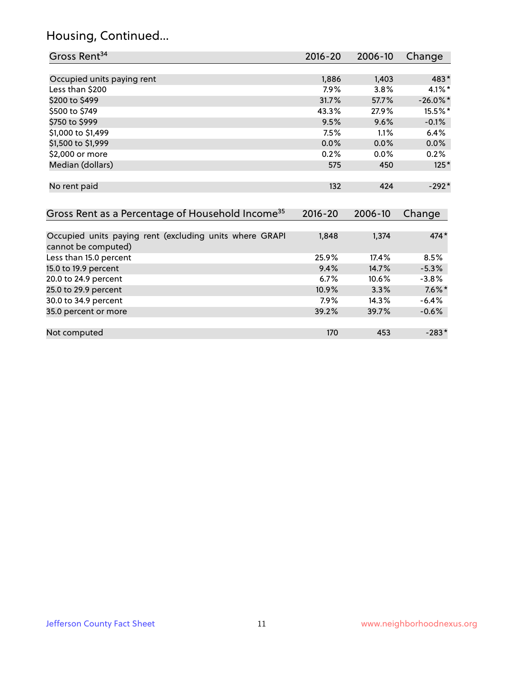# Housing, Continued...

| Gross Rent <sup>34</sup>                                                       | 2016-20     | 2006-10 | Change      |
|--------------------------------------------------------------------------------|-------------|---------|-------------|
|                                                                                |             |         |             |
| Occupied units paying rent                                                     | 1,886       | 1,403   | 483*        |
| Less than \$200                                                                | $7.9\%$     | 3.8%    | $4.1\%$ *   |
| \$200 to \$499                                                                 | 31.7%       | 57.7%   | $-26.0\%$ * |
| \$500 to \$749                                                                 | 43.3%       | 27.9%   | 15.5%*      |
| \$750 to \$999                                                                 | 9.5%        | 9.6%    | $-0.1%$     |
| \$1,000 to \$1,499                                                             | 7.5%        | 1.1%    | 6.4%        |
| \$1,500 to \$1,999                                                             | 0.0%        | 0.0%    | 0.0%        |
| \$2,000 or more                                                                | 0.2%        | $0.0\%$ | 0.2%        |
| Median (dollars)                                                               | 575         | 450     | $125*$      |
| No rent paid                                                                   | 132         | 424     | $-292*$     |
| Gross Rent as a Percentage of Household Income <sup>35</sup>                   | $2016 - 20$ | 2006-10 | Change      |
| Occupied units paying rent (excluding units where GRAPI<br>cannot be computed) | 1,848       | 1,374   | $474*$      |
| Less than 15.0 percent                                                         | 25.9%       | 17.4%   | 8.5%        |
| 15.0 to 19.9 percent                                                           | 9.4%        | 14.7%   | $-5.3%$     |
| 20.0 to 24.9 percent                                                           | 6.7%        | 10.6%   | $-3.8%$     |
| 25.0 to 29.9 percent                                                           | 10.9%       | 3.3%    | $7.6\%$ *   |
| 30.0 to 34.9 percent                                                           | 7.9%        | 14.3%   | $-6.4%$     |
| 35.0 percent or more                                                           | 39.2%       | 39.7%   | $-0.6%$     |
| Not computed                                                                   | 170         | 453     | $-283*$     |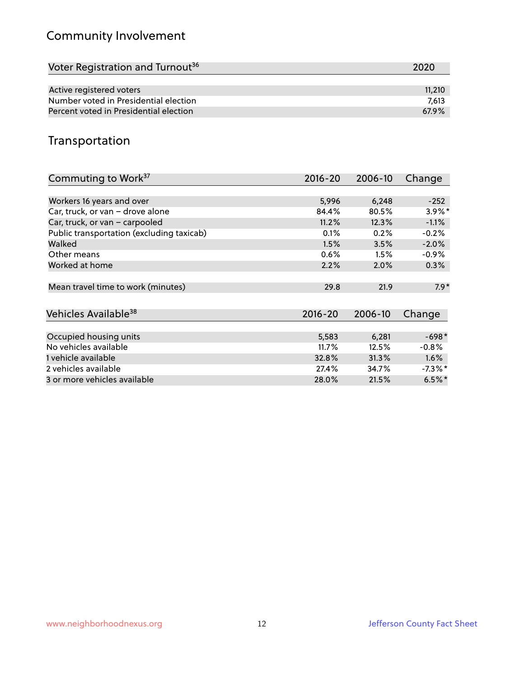# Community Involvement

| Voter Registration and Turnout <sup>36</sup> | 2020   |
|----------------------------------------------|--------|
|                                              |        |
| Active registered voters                     | 11,210 |
| Number voted in Presidential election        | 7.613  |
| Percent voted in Presidential election       | 67.9%  |

# Transportation

| Commuting to Work <sup>37</sup>           | 2016-20     | 2006-10 | Change     |
|-------------------------------------------|-------------|---------|------------|
|                                           |             |         |            |
| Workers 16 years and over                 | 5,996       | 6,248   | $-252$     |
| Car, truck, or van - drove alone          | 84.4%       | 80.5%   | $3.9\%$ *  |
| Car, truck, or van - carpooled            | 11.2%       | 12.3%   | $-1.1%$    |
| Public transportation (excluding taxicab) | 0.1%        | 0.2%    | $-0.2%$    |
| Walked                                    | 1.5%        | 3.5%    | $-2.0%$    |
| Other means                               | 0.6%        | 1.5%    | $-0.9\%$   |
| Worked at home                            | 2.2%        | 2.0%    | 0.3%       |
| Mean travel time to work (minutes)        | 29.8        | 21.9    | $7.9*$     |
| Vehicles Available <sup>38</sup>          | $2016 - 20$ | 2006-10 | Change     |
| Occupied housing units                    | 5,583       | 6,281   | $-698*$    |
| No vehicles available                     | 11.7%       | 12.5%   | $-0.8%$    |
| 1 vehicle available                       | 32.8%       | 31.3%   | 1.6%       |
| 2 vehicles available                      | 27.4%       | 34.7%   | $-7.3\%$ * |
| 3 or more vehicles available              | 28.0%       | 21.5%   | $6.5%$ *   |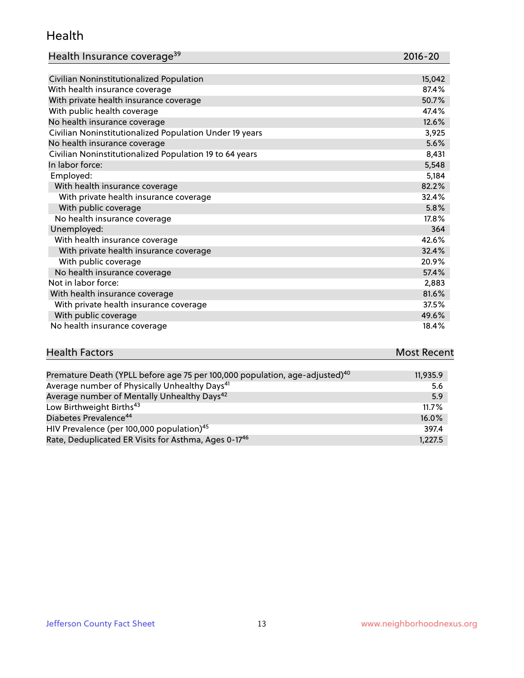#### Health

| Health Insurance coverage <sup>39</sup> | 2016-20 |
|-----------------------------------------|---------|
|-----------------------------------------|---------|

| Civilian Noninstitutionalized Population                | 15,042 |
|---------------------------------------------------------|--------|
| With health insurance coverage                          | 87.4%  |
| With private health insurance coverage                  | 50.7%  |
| With public health coverage                             | 47.4%  |
| No health insurance coverage                            | 12.6%  |
| Civilian Noninstitutionalized Population Under 19 years | 3,925  |
| No health insurance coverage                            | 5.6%   |
| Civilian Noninstitutionalized Population 19 to 64 years | 8,431  |
| In labor force:                                         | 5,548  |
| Employed:                                               | 5,184  |
| With health insurance coverage                          | 82.2%  |
| With private health insurance coverage                  | 32.4%  |
| With public coverage                                    | 5.8%   |
| No health insurance coverage                            | 17.8%  |
| Unemployed:                                             | 364    |
| With health insurance coverage                          | 42.6%  |
| With private health insurance coverage                  | 32.4%  |
| With public coverage                                    | 20.9%  |
| No health insurance coverage                            | 57.4%  |
| Not in labor force:                                     | 2,883  |
| With health insurance coverage                          | 81.6%  |
| With private health insurance coverage                  | 37.5%  |
| With public coverage                                    | 49.6%  |
| No health insurance coverage                            | 18.4%  |

| <b>Health Factors</b> | <b>Most Recent</b> |
|-----------------------|--------------------|
|                       |                    |

| Premature Death (YPLL before age 75 per 100,000 population, age-adjusted) <sup>40</sup> | 11,935.9 |
|-----------------------------------------------------------------------------------------|----------|
| Average number of Physically Unhealthy Days <sup>41</sup>                               | 5.6      |
| Average number of Mentally Unhealthy Days <sup>42</sup>                                 | 5.9      |
| Low Birthweight Births <sup>43</sup>                                                    | 11.7%    |
| Diabetes Prevalence <sup>44</sup>                                                       | 16.0%    |
| HIV Prevalence (per 100,000 population) <sup>45</sup>                                   | 397.4    |
| Rate, Deduplicated ER Visits for Asthma, Ages 0-17 <sup>46</sup>                        | 1,227.5  |